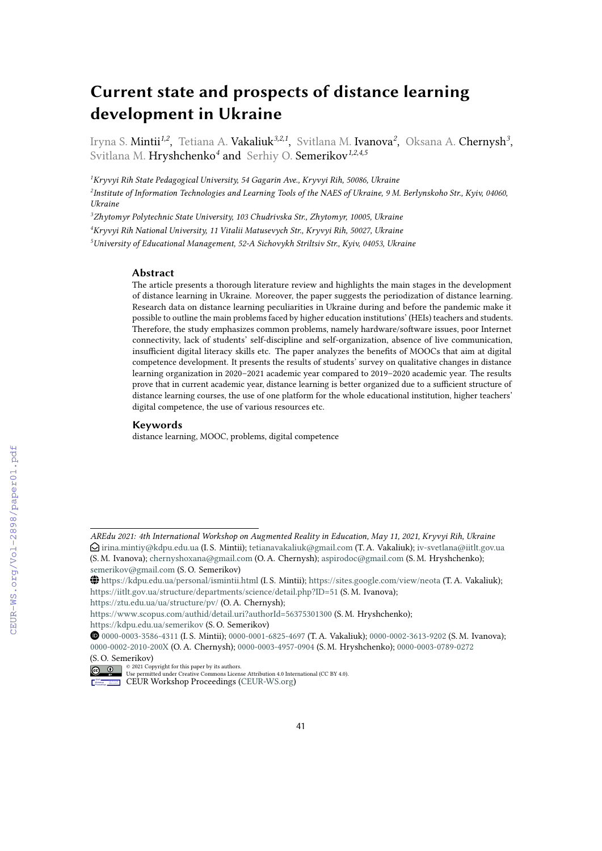# **Current state and prospects of distance learning development in Ukraine**

Iryna S. **Mintii<sup>1,2</sup>, T**etiana A. **Vakaliuk<sup>3,2,1</sup>, S**vitlana M. **Ivanova<sup>2</sup>, Oksana A. Chernysh<sup>3</sup>,** Svitlana M. Hryshchenko*<sup>4</sup>* and Serhiy O. Semerikov*1,2,4,5*

*<sup>1</sup>Kryvyi Rih State Pedagogical University, 54 Gagarin Ave., Kryvyi Rih, 50086, Ukraine*

*2 Institute of Information Technologies and Learning Tools of the NAES of Ukraine, 9 M. Berlynskoho Str., Kyiv, 04060, Ukraine*

*<sup>3</sup>Zhytomyr Polytechnic State University, 103 Chudrivska Str., Zhytomyr, 10005, Ukraine*

*<sup>4</sup>Kryvyi Rih National University, 11 Vitalii Matusevych Str., Kryvyi Rih, 50027, Ukraine*

*<sup>5</sup>University of Educational Management, 52-A Sichovykh Striltsiv Str., Kyiv, 04053, Ukraine*

#### **Abstract**

The article presents a thorough literature review and highlights the main stages in the development of distance learning in Ukraine. Moreover, the paper suggests the periodization of distance learning. Research data on distance learning peculiarities in Ukraine during and before the pandemic make it possible to outline the main problems faced by higher education institutions' (HEIs) teachers and students. Therefore, the study emphasizes common problems, namely hardware/software issues, poor Internet connectivity, lack of students' self-discipline and self-organization, absence of live communication, insufficient digital literacy skills etc. The paper analyzes the benefits of MOOCs that aim at digital competence development. It presents the results of students' survey on qualitative changes in distance learning organization in 2020–2021 academic year compared to 2019–2020 academic year. The results prove that in current academic year, distance learning is better organized due to a sufficient structure of distance learning courses, the use of one platform for the whole educational institution, higher teachers' digital competence, the use of various resources etc.

#### **Keywords**

distance learning, MOOC, problems, digital competence

<https://ztu.edu.ua/ua/structure/pv/> (O. A. Chernysh);

*AREdu 2021: 4th International Workshop on Augmented Reality in Education, May 11, 2021, Kryvyi Rih, Ukraine*  $\bigcirc$ [irina.mintiy@kdpu.edu.ua](mailto:irina.mintiy@kdpu.edu.ua) (I. S. Mintii); [tetianavakaliuk@gmail.com](mailto:tetianavakaliuk@gmail.com) (T. A. Vakaliuk); [iv-svetlana@iitlt.gov.ua](mailto:iv-svetlana@iitlt.gov.ua) (S. M. Ivanova); [chernyshoxana@gmail.com](mailto:chernyshoxana@gmail.com) (O. A. Chernysh); [aspirodoc@gmail.com](mailto:aspirodoc@gmail.com) (S. M. Hryshchenko); [semerikov@gmail.com](mailto:semerikov@gmail.com) (S. O. Semerikov)

GLOBE <https://kdpu.edu.ua/personal/ismintii.html> (I. S. Mintii); <https://sites.google.com/view/neota> (T. A. Vakaliuk); <https://iitlt.gov.ua/structure/departments/science/detail.php?ID=51> (S. M. Ivanova);

<https://www.scopus.com/authid/detail.uri?authorId=56375301300> (S. M. Hryshchenko);

<https://kdpu.edu.ua/semerikov> (S. O. Semerikov)

Orcid [0000-0003-3586-4311](https://orcid.org/0000-0003-3586-4311) (I. S. Mintii); [0000-0001-6825-4697](https://orcid.org/0000-0001-6825-4697) (T. A. Vakaliuk); [0000-0002-3613-9202](https://orcid.org/0000-0002-3613-9202) (S. M. Ivanova); [0000-0002-2010-200X](https://orcid.org/0000-0002-2010-200X) (O. A. Chernysh); [0000-0003-4957-0904](https://orcid.org/0000-0003-4957-0904) (S. M. Hryshchenko); [0000-0003-0789-0272](https://orcid.org/0000-0003-0789-0272) (S. O. Semerikov)

<sup>© 2021</sup> Copyright for this paper by its authors. Use permitted under Creative Commons License Attribution 4.0 International (CC BY 4.0).

CEUR Workshop [Proceedings](http://ceur-ws.org) [\(CEUR-WS.org\)](http://ceur-ws.org)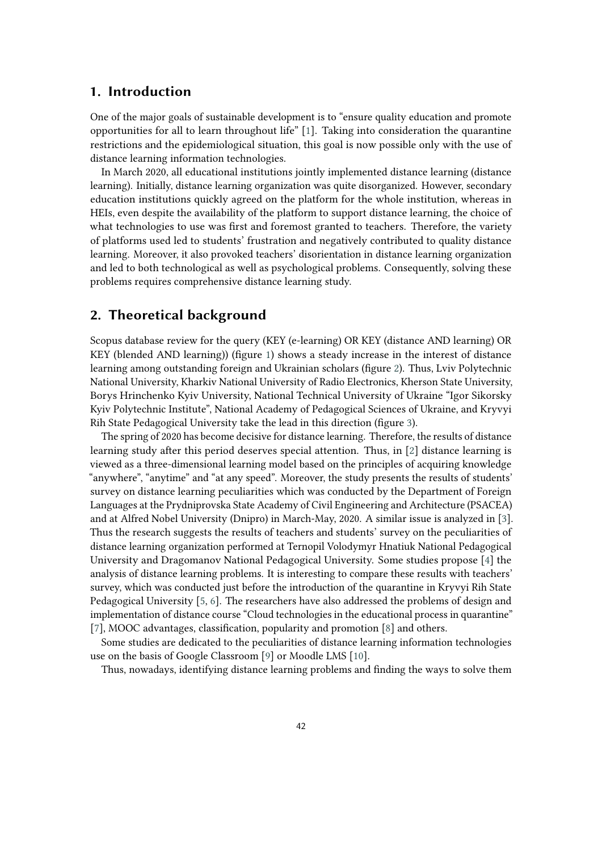### **1. Introduction**

One of the major goals of sustainable development is to "ensure quality education and promote opportunities for all to learn throughout life" [\[1\]](#page-12-0). Taking into consideration the quarantine restrictions and the epidemiological situation, this goal is now possible only with the use of distance learning information technologies.

In March 2020, all educational institutions jointly implemented distance learning (distance learning). Initially, distance learning organization was quite disorganized. However, secondary education institutions quickly agreed on the platform for the whole institution, whereas in HEIs, even despite the availability of the platform to support distance learning, the choice of what technologies to use was first and foremost granted to teachers. Therefore, the variety of platforms used led to students' frustration and negatively contributed to quality distance learning. Moreover, it also provoked teachers' disorientation in distance learning organization and led to both technological as well as psychological problems. Consequently, solving these problems requires comprehensive distance learning study.

# **2. Theoretical background**

Scopus database review for the query (KEY (e-learning) OR KEY (distance AND learning) OR KEY (blended AND learning)) (figure [1\)](#page-2-0) shows a steady increase in the interest of distance learning among outstanding foreign and Ukrainian scholars (figure [2\)](#page-2-1). Thus, Lviv Polytechnic National University, Kharkiv National University of Radio Electronics, Kherson State University, Borys Hrinchenko Kyiv University, National Technical University of Ukraine "Igor Sikorsky Kyiv Polytechnic Institute", National Academy of Pedagogical Sciences of Ukraine, and Kryvyi Rih State Pedagogical University take the lead in this direction (figure [3\)](#page-3-0).

The spring of 2020 has become decisive for distance learning. Therefore, the results of distance learning study after this period deserves special attention. Thus, in [\[2\]](#page-12-1) distance learning is viewed as a three-dimensional learning model based on the principles of acquiring knowledge "anywhere", "anytime" and "at any speed". Moreover, the study presents the results of students' survey on distance learning peculiarities which was conducted by the Department of Foreign Languages at the Prydniprovska State Academy of Civil Engineering and Architecture (PSACEA) and at Alfred Nobel University (Dnipro) in March-May, 2020. A similar issue is analyzed in [\[3\]](#page-12-2). Thus the research suggests the results of teachers and students' survey on the peculiarities of distance learning organization performed at Ternopil Volodymyr Hnatiuk National Pedagogical University and Dragomanov National Pedagogical University. Some studies propose [\[4\]](#page-12-3) the analysis of distance learning problems. It is interesting to compare these results with teachers' survey, which was conducted just before the introduction of the quarantine in Kryvyi Rih State Pedagogical University [\[5,](#page-12-4) [6\]](#page-12-5). The researchers have also addressed the problems of design and implementation of distance course "Cloud technologies in the educational process in quarantine" [\[7\]](#page-12-6), MOOC advantages, classification, popularity and promotion [\[8\]](#page-12-7) and others.

Some studies are dedicated to the peculiarities of distance learning information technologies use on the basis of Google Classroom [\[9\]](#page-12-8) or Moodle LMS [\[10\]](#page-13-0).

Thus, nowadays, identifying distance learning problems and finding the ways to solve them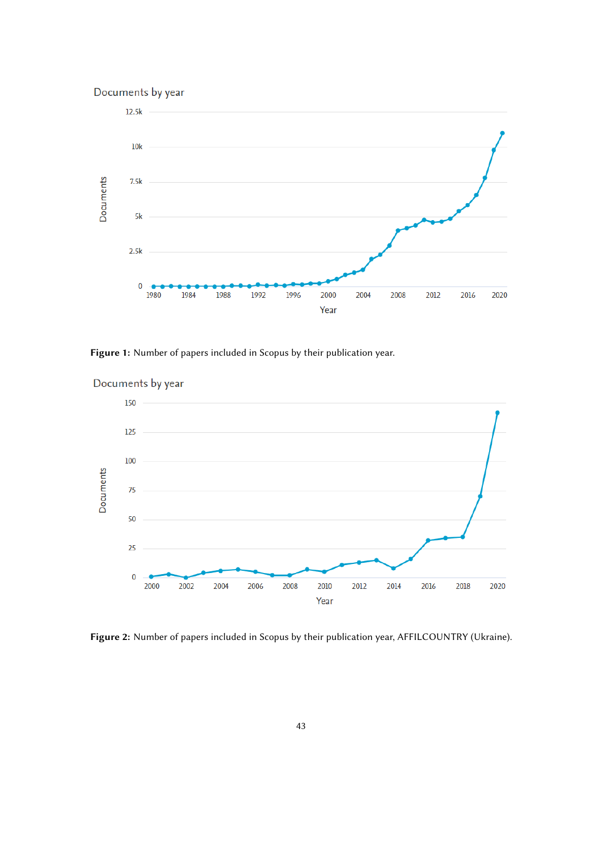

<span id="page-2-0"></span>Figure 1: Number of papers included in Scopus by their publication year.



Documents by year

<span id="page-2-1"></span>**Figure 2:** Number of papers included in Scopus by their publication year, AFFILCOUNTRY (Ukraine).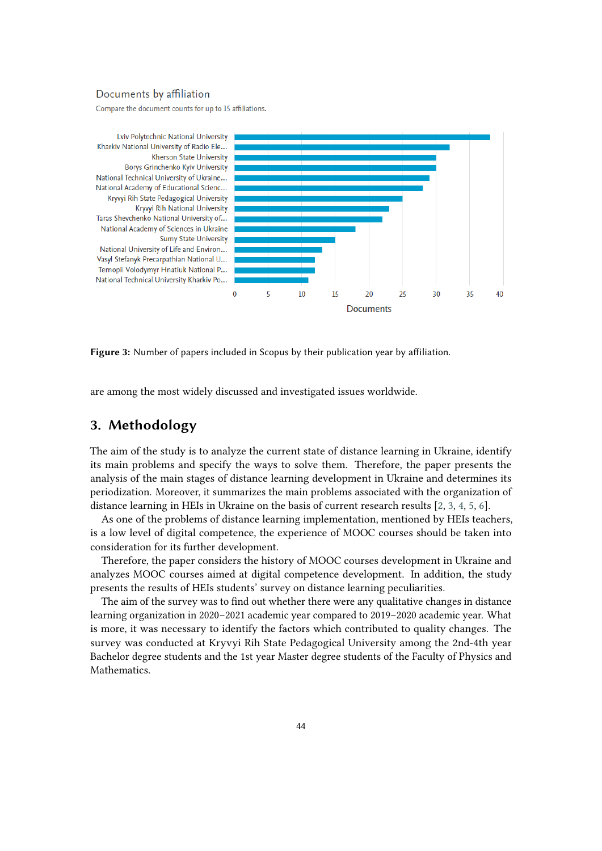#### Documents by affiliation

Compare the document counts for up to 15 affiliations.



<span id="page-3-0"></span>**Figure 3:** Number of papers included in Scopus by their publication year by affiliation.

are among the most widely discussed and investigated issues worldwide.

# **3. Methodology**

The aim of the study is to analyze the current state of distance learning in Ukraine, identify its main problems and specify the ways to solve them. Therefore, the paper presents the analysis of the main stages of distance learning development in Ukraine and determines its periodization. Moreover, it summarizes the main problems associated with the organization of distance learning in HEIs in Ukraine on the basis of current research results [\[2,](#page-12-1) [3,](#page-12-2) [4,](#page-12-3) [5,](#page-12-4) [6\]](#page-12-5).

As one of the problems of distance learning implementation, mentioned by HEIs teachers, is a low level of digital competence, the experience of MOOC courses should be taken into consideration for its further development.

Therefore, the paper considers the history of MOOC courses development in Ukraine and analyzes MOOC courses aimed at digital competence development. In addition, the study presents the results of HEIs students' survey on distance learning peculiarities.

The aim of the survey was to find out whether there were any qualitative changes in distance learning organization in 2020–2021 academic year compared to 2019–2020 academic year. What is more, it was necessary to identify the factors which contributed to quality changes. The survey was conducted at Kryvyi Rih State Pedagogical University among the 2nd-4th year Bachelor degree students and the 1st year Master degree students of the Faculty of Physics and Mathematics.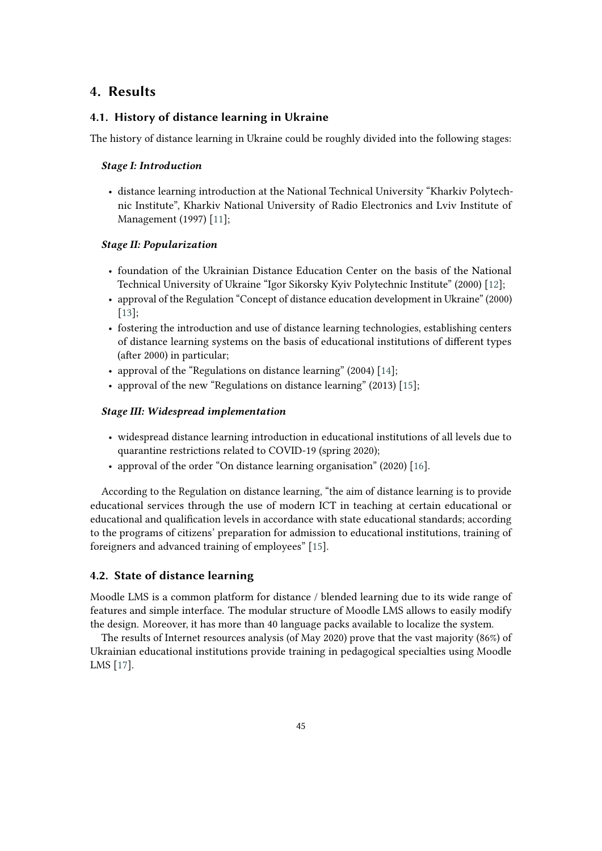# **4. Results**

#### **4.1. History of distance learning in Ukraine**

The history of distance learning in Ukraine could be roughly divided into the following stages:

#### *Stage I: Introduction*

• distance learning introduction at the National Technical University "Kharkiv Polytechnic Institute", Kharkiv National University of Radio Electronics and Lviv Institute of Management (1997) [\[11\]](#page-13-1);

#### *Stage II: Popularization*

- foundation of the Ukrainian Distance Education Center on the basis of the National Technical University of Ukraine "Igor Sikorsky Kyiv Polytechnic Institute" (2000) [\[12\]](#page-13-2);
- approval of the Regulation "Concept of distance education development in Ukraine" (2000) [\[13\]](#page-13-3);
- fostering the introduction and use of distance learning technologies, establishing centers of distance learning systems on the basis of educational institutions of different types (after 2000) in particular;
- approval of the "Regulations on distance learning" (2004) [\[14\]](#page-13-4);
- approval of the new "Regulations on distance learning" (2013) [\[15\]](#page-13-5);

#### *Stage III: Widespread implementation*

- widespread distance learning introduction in educational institutions of all levels due to quarantine restrictions related to COVID-19 (spring 2020);
- approval of the order "On distance learning organisation" (2020) [\[16\]](#page-13-6).

According to the Regulation on distance learning, "the aim of distance learning is to provide educational services through the use of modern ICT in teaching at certain educational or educational and qualification levels in accordance with state educational standards; according to the programs of citizens' preparation for admission to educational institutions, training of foreigners and advanced training of employees" [\[15\]](#page-13-5).

#### **4.2. State of distance learning**

Moodle LMS is a common platform for distance / blended learning due to its wide range of features and simple interface. The modular structure of Moodle LMS allows to easily modify the design. Moreover, it has more than 40 language packs available to localize the system.

The results of Internet resources analysis (of May 2020) prove that the vast majority (86%) of Ukrainian educational institutions provide training in pedagogical specialties using Moodle LMS [\[17\]](#page-13-7).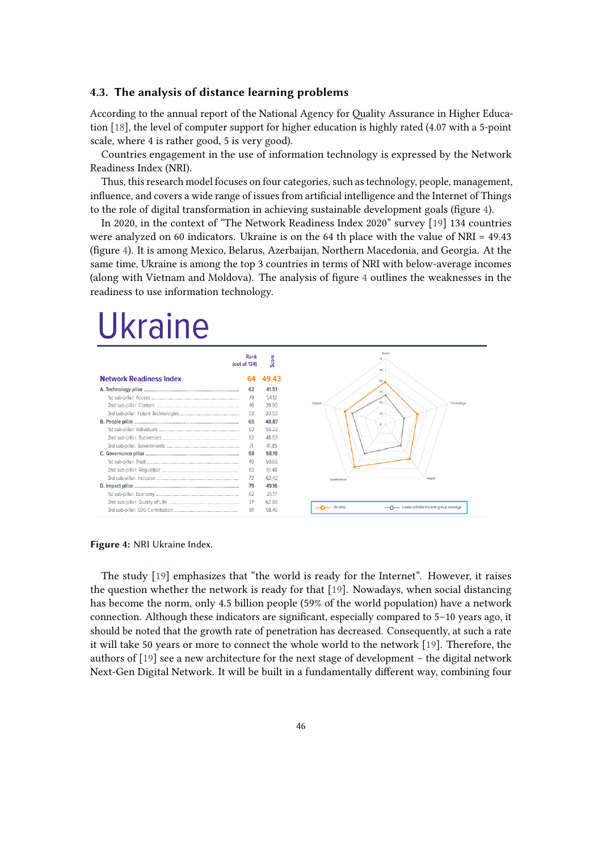# **4.3. The analysis of distance learning problems**

According to the annual report of the National Agency for Quality Assurance in Higher Education [\[18\]](#page-13-8), the level of computer support for higher education is highly rated (4.07 with a 5-point scale, where 4 is rather good, 5 is very good).

Countries engagement in the use of information technology is expressed by the Network Readiness Index (NRI).

Thus, this research model focuses on four categories, such as technology, people, management, influence, and covers a wide range of issues from artificial intelligence and the Internet of Things to the role of digital transformation in achieving sustainable development goals (figure [4\)](#page-5-0).

In 2020, in the context of "The Network Readiness Index 2020" survey [\[19\]](#page-13-9) 134 countries were analyzed on 60 indicators. Ukraine is on the 64 th place with the value of NRI = 49.43 (figure [4\)](#page-5-0). It is among Mexico, Belarus, Azerbaijan, Northern Macedonia, and Georgia. At the same time, Ukraine is among the top 3 countries in terms of NRI with below-average incomes (along with Vietnam and Moldova). The analysis of figure [4](#page-5-0) outlines the weaknesses in the readiness to use information technology.

# **Ukraine**



<span id="page-5-0"></span>**Figure 4:** NRI Ukraine Index.

The study [\[19\]](#page-13-9) emphasizes that "the world is ready for the Internet". However, it raises the question whether the network is ready for that [\[19\]](#page-13-9). Nowadays, when social distancing has become the norm, only 4.5 billion people (59% of the world population) have a network connection. Although these indicators are significant, especially compared to 5–10 years ago, it should be noted that the growth rate of penetration has decreased. Consequently, at such a rate it will take 50 years or more to connect the whole world to the network [\[19\]](#page-13-9). Therefore, the authors of [\[19\]](#page-13-9) see a new architecture for the next stage of development – the digital network Next-Gen Digital Network. It will be built in a fundamentally different way, combining four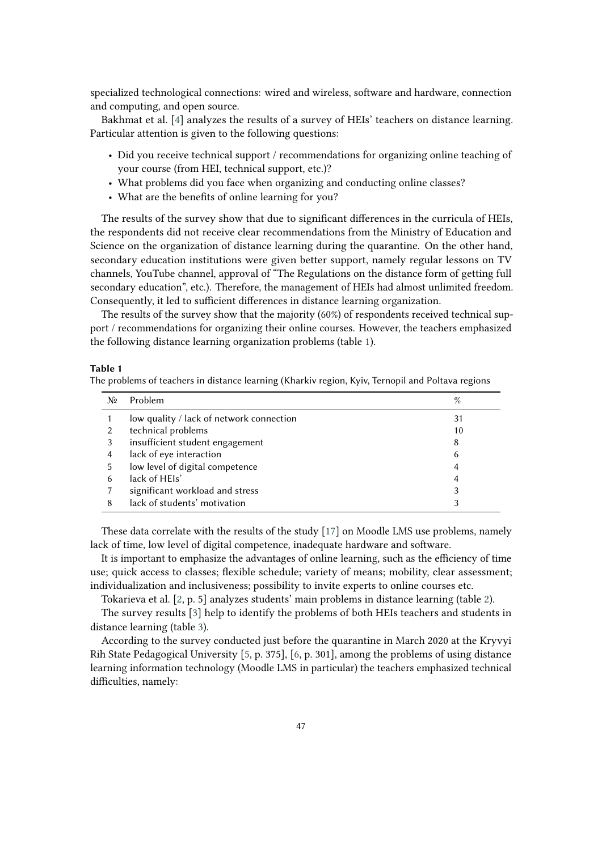specialized technological connections: wired and wireless, software and hardware, connection and computing, and open source.

Bakhmat et al. [\[4\]](#page-12-3) analyzes the results of a survey of HEIs' teachers on distance learning. Particular attention is given to the following questions:

- Did you receive technical support / recommendations for organizing online teaching of your course (from HEI, technical support, etc.)?
- What problems did you face when organizing and conducting online classes?
- What are the benefits of online learning for you?

The results of the survey show that due to significant differences in the curricula of HEIs, the respondents did not receive clear recommendations from the Ministry of Education and Science on the organization of distance learning during the quarantine. On the other hand, secondary education institutions were given better support, namely regular lessons on TV channels, YouTube channel, approval of "The Regulations on the distance form of getting full secondary education", etc.). Therefore, the management of HEIs had almost unlimited freedom. Consequently, it led to sufficient differences in distance learning organization.

The results of the survey show that the majority (60%) of respondents received technical support / recommendations for organizing their online courses. However, the teachers emphasized the following distance learning organization problems (table [1\)](#page-6-0).

#### <span id="page-6-0"></span>**Table 1**

The problems of teachers in distance learning (Kharkiv region, Kyiv, Ternopil and Poltava regions

| Nº | Problem                                  | %  |
|----|------------------------------------------|----|
|    | low quality / lack of network connection | 31 |
|    | technical problems                       | 10 |
| 3  | insufficient student engagement          | 8  |
| 4  | lack of eye interaction                  | 6  |
| 5  | low level of digital competence          | 4  |
| 6  | lack of HEIs'                            | 4  |
|    | significant workload and stress          | 3  |
| 8  | lack of students' motivation             | 3  |

These data correlate with the results of the study [\[17\]](#page-13-7) on Moodle LMS use problems, namely lack of time, low level of digital competence, inadequate hardware and software.

It is important to emphasize the advantages of online learning, such as the efficiency of time use; quick access to classes; flexible schedule; variety of means; mobility, clear assessment; individualization and inclusiveness; possibility to invite experts to online courses etc.

Tokarieva et al. [\[2,](#page-12-1) p. 5] analyzes students' main problems in distance learning (table [2\)](#page-7-0).

The survey results [\[3\]](#page-12-2) help to identify the problems of both HEIs teachers and students in distance learning (table [3\)](#page-7-1).

According to the survey conducted just before the quarantine in March 2020 at the Kryvyi Rih State Pedagogical University [\[5,](#page-12-4) p. 375], [\[6,](#page-12-5) p. 301], among the problems of using distance learning information technology (Moodle LMS in particular) the teachers emphasized technical difficulties, namely: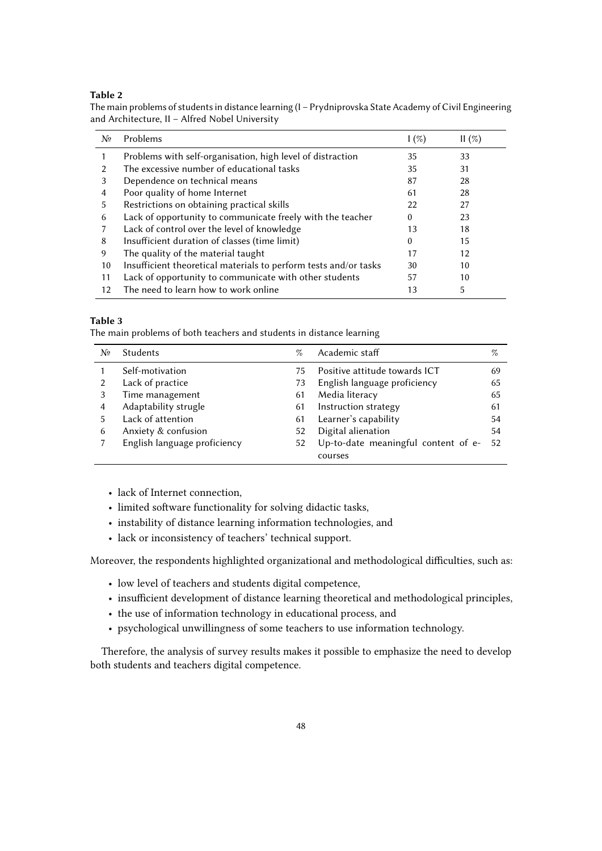#### <span id="page-7-0"></span>**Table 2**

The main problems of students in distance learning (I – Prydniprovska State Academy of Civil Engineering and Architecture, II – Alfred Nobel University

| Nº | Problems                                                         | $\frac{1}{2}$ | II(%) |
|----|------------------------------------------------------------------|---------------|-------|
|    | Problems with self-organisation, high level of distraction       | 35            | 33    |
|    | The excessive number of educational tasks                        | 35            | 31    |
| 3  | Dependence on technical means                                    | 87            | 28    |
| 4  | Poor quality of home Internet                                    | 61            | 28    |
| 5  | Restrictions on obtaining practical skills                       | 22            | 27    |
| 6  | Lack of opportunity to communicate freely with the teacher       | 0             | 23    |
|    | Lack of control over the level of knowledge                      | 13            | 18    |
| 8  | Insufficient duration of classes (time limit)                    | $\Omega$      | 15    |
| 9  | The quality of the material taught                               | 17            | 12    |
| 10 | Insufficient theoretical materials to perform tests and/or tasks | 30            | 10    |
| 11 | Lack of opportunity to communicate with other students           | 57            | 10    |
| 12 | The need to learn how to work online                             | 13            | 5     |

#### <span id="page-7-1"></span>**Table 3**

The main problems of both teachers and students in distance learning

| No | <b>Students</b>              | %  | Academic staff                      | $\%$ |
|----|------------------------------|----|-------------------------------------|------|
|    | Self-motivation              | 75 | Positive attitude towards ICT       | 69   |
|    | Lack of practice             | 73 | English language proficiency        | 65   |
|    | Time management              | 61 | Media literacy                      | 65   |
| 4  | Adaptability strugle         | 61 | Instruction strategy                | 61   |
| 5  | Lack of attention            | 61 | Learner's capability                | 54   |
| 6  | Anxiety & confusion          | 52 | Digital alienation                  | 54   |
|    | English language proficiency | 52 | Up-to-date meaningful content of e- | -52  |
|    |                              |    | courses                             |      |

- lack of Internet connection,
- limited software functionality for solving didactic tasks,
- instability of distance learning information technologies, and
- lack or inconsistency of teachers' technical support.

Moreover, the respondents highlighted organizational and methodological difficulties, such as:

- low level of teachers and students digital competence,
- insufficient development of distance learning theoretical and methodological principles,
- the use of information technology in educational process, and
- psychological unwillingness of some teachers to use information technology.

Therefore, the analysis of survey results makes it possible to emphasize the need to develop both students and teachers digital competence.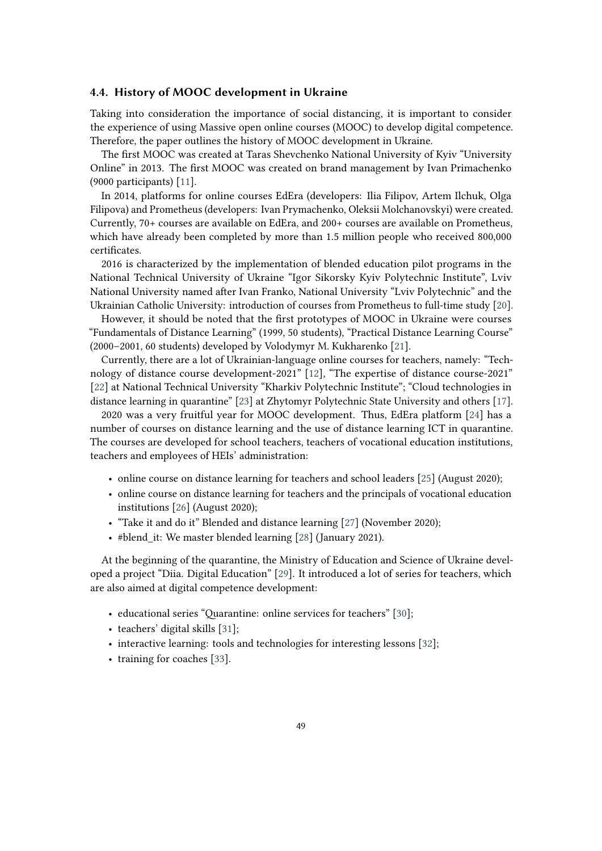#### **4.4. History of MOOC development in Ukraine**

Taking into consideration the importance of social distancing, it is important to consider the experience of using Massive open online courses (MOOC) to develop digital competence. Therefore, the paper outlines the history of MOOC development in Ukraine.

The first MOOC was created at Taras Shevchenko National University of Kyiv "University Online" in 2013. The first MOOC was created on brand management by Ivan Primachenko (9000 participants) [\[11\]](#page-13-1).

In 2014, platforms for online courses EdEra (developers: Ilia Filipov, Artem Ilchuk, Olga Filipova) and Prometheus (developers: Ivan Prymachenko, Oleksii Molchanovskyi) were created. Currently, 70+ courses are available on EdEra, and 200+ courses are available on Prometheus, which have already been completed by more than 1.5 million people who received 800,000 certificates.

2016 is characterized by the implementation of blended education pilot programs in the National Technical University of Ukraine "Igor Sikorsky Kyiv Polytechnic Institute", Lviv National University named after Ivan Franko, National University "Lviv Polytechnic" and the Ukrainian Catholic University: introduction of courses from Prometheus to full-time study [\[20\]](#page-13-10).

However, it should be noted that the first prototypes of MOOC in Ukraine were courses "Fundamentals of Distance Learning" (1999, 50 students), "Practical Distance Learning Course" (2000–2001, 60 students) developed by Volodymyr M. Kukharenko [\[21\]](#page-13-11).

Currently, there are a lot of Ukrainian-language online courses for teachers, namely: "Technology of distance course development-2021" [\[12\]](#page-13-2), "The expertise of distance course-2021" [\[22\]](#page-14-0) at National Technical University "Kharkiv Polytechnic Institute"; "Cloud technologies in distance learning in quarantine" [\[23\]](#page-14-1) at Zhytomyr Polytechnic State University and others [\[17\]](#page-13-7).

2020 was a very fruitful year for MOOC development. Thus, EdEra platform [\[24\]](#page-14-2) has a number of courses on distance learning and the use of distance learning ICT in quarantine. The courses are developed for school teachers, teachers of vocational education institutions, teachers and employees of HEIs' administration:

- online course on distance learning for teachers and school leaders [\[25\]](#page-14-3) (August 2020);
- online course on distance learning for teachers and the principals of vocational education institutions [\[26\]](#page-14-4) (August 2020);
- "Take it and do it" Blended and distance learning [\[27\]](#page-14-5) (November 2020);
- #blend it: We master blended learning [\[28\]](#page-14-6) (January 2021).

At the beginning of the quarantine, the Ministry of Education and Science of Ukraine developed a project "Diia. Digital Education" [\[29\]](#page-14-7). It introduced a lot of series for teachers, which are also aimed at digital competence development:

- educational series "Quarantine: online services for teachers" [\[30\]](#page-14-8);
- teachers' digital skills [\[31\]](#page-14-9);
- interactive learning: tools and technologies for interesting lessons [\[32\]](#page-14-10);
- training for coaches [\[33\]](#page-14-11).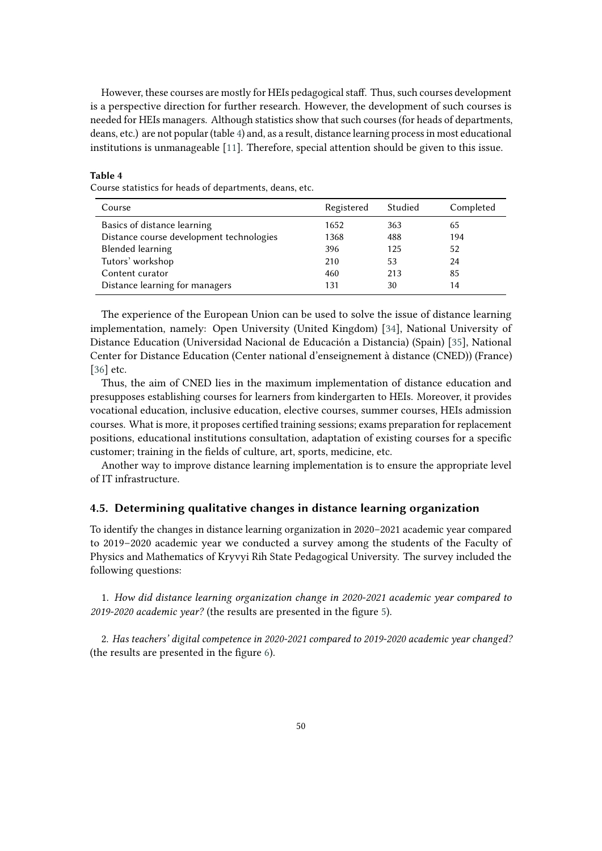However, these courses are mostly for HEIs pedagogical staff. Thus, such courses development is a perspective direction for further research. However, the development of such courses is needed for HEIs managers. Although statistics show that such courses (for heads of departments, deans, etc.) are not popular (table [4\)](#page-9-0) and, as a result, distance learning process in most educational institutions is unmanageable [\[11\]](#page-13-1). Therefore, special attention should be given to this issue.

# Course statistics for heads of departments, deans, etc.

<span id="page-9-0"></span>**Table 4**

| Course                                   | Registered | Studied | Completed |
|------------------------------------------|------------|---------|-----------|
| Basics of distance learning              | 1652       | 363     | 65        |
| Distance course development technologies | 1368       | 488     | 194       |
| <b>Blended learning</b>                  | 396        | 125     | 52        |
| Tutors' workshop                         | 210        | 53      | 24        |
| Content curator                          | 460        | 213     | 85        |
| Distance learning for managers           | 131        | 30      | 14        |

The experience of the European Union can be used to solve the issue of distance learning implementation, namely: Open University (United Kingdom) [\[34\]](#page-14-12), National University of Distance Education (Universidad Nacional de Educación a Distancia) (Spain) [\[35\]](#page-14-13), National Center for Distance Education (Center national d'enseignement à distance (CNED)) (France) [\[36\]](#page-14-14) etc.

Thus, the aim of CNED lies in the maximum implementation of distance education and presupposes establishing courses for learners from kindergarten to HEIs. Moreover, it provides vocational education, inclusive education, elective courses, summer courses, HEIs admission courses. What is more, it proposes certified training sessions; exams preparation for replacement positions, educational institutions consultation, adaptation of existing courses for a specific customer; training in the fields of culture, art, sports, medicine, etc.

Another way to improve distance learning implementation is to ensure the appropriate level of IT infrastructure.

#### **4.5. Determining qualitative changes in distance learning organization**

To identify the changes in distance learning organization in 2020–2021 academic year compared to 2019–2020 academic year we conducted a survey among the students of the Faculty of Physics and Mathematics of Kryvyi Rih State Pedagogical University. The survey included the following questions:

1. *How did distance learning organization change in 2020-2021 academic year compared to 2019-2020 academic year?* (the results are presented in the figure [5\)](#page-10-0).

2. *Has teachers' digital competence in 2020-2021 compared to 2019-2020 academic year changed?* (the results are presented in the figure [6\)](#page-10-1).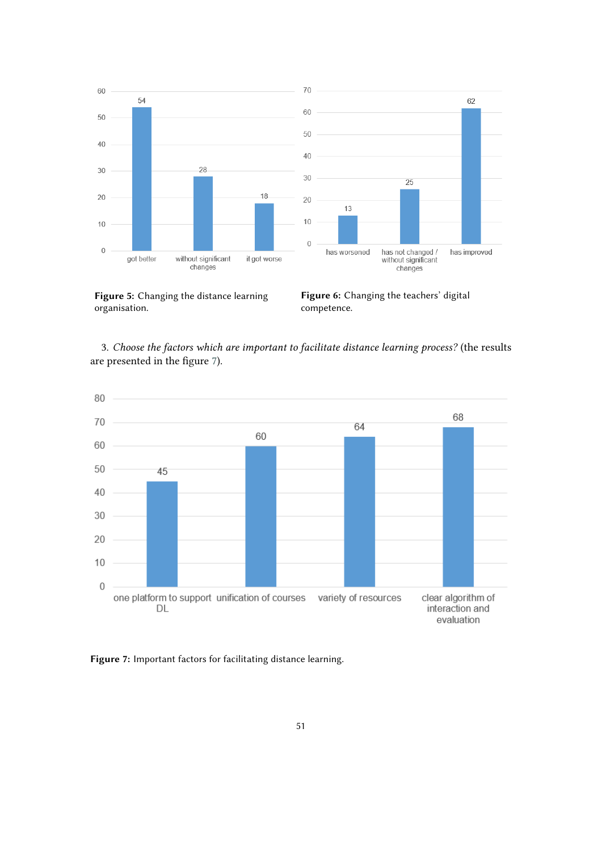

<span id="page-10-0"></span>**Figure 5:** Changing the distance learning organisation.

<span id="page-10-1"></span>**Figure 6:** Changing the teachers' digital competence.

3. *Choose the factors which are important to facilitate distance learning process?* (the results are presented in the figure [7\)](#page-10-2).



<span id="page-10-2"></span>**Figure 7:** Important factors for facilitating distance learning.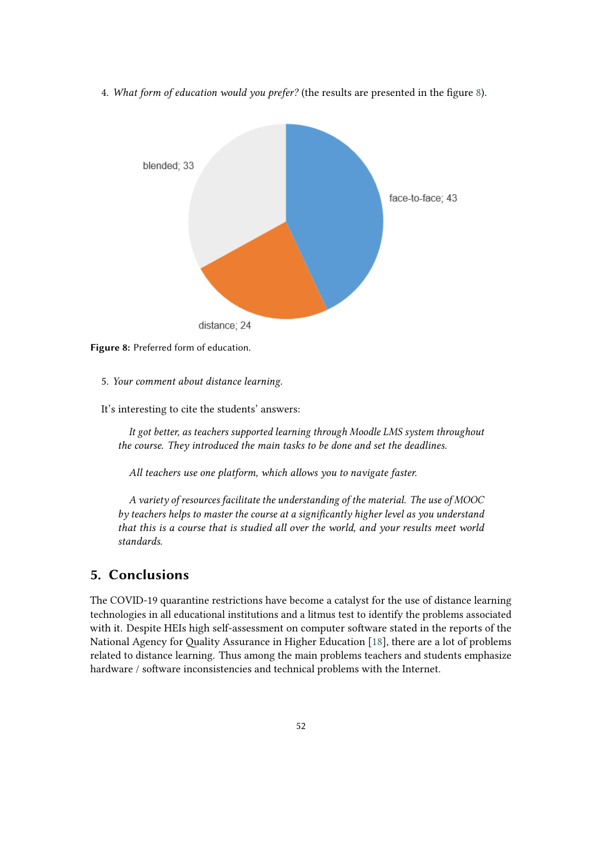4. *What form of education would you prefer?* (the results are presented in the figure [8\)](#page-11-0).





- 5. *Your comment about distance learning.*
- It's interesting to cite the students' answers:

<span id="page-11-0"></span>*It got better, as teachers supported learning through Moodle LMS system throughout the course. They introduced the main tasks to be done and set the deadlines.*

*All teachers use one platform, which allows you to navigate faster.*

*A variety of resources facilitate the understanding of the material. The use of MOOC by teachers helps to master the course at a significantly higher level as you understand that this is a course that is studied all over the world, and your results meet world standards.*

# **5. Conclusions**

The COVID-19 quarantine restrictions have become a catalyst for the use of distance learning technologies in all educational institutions and a litmus test to identify the problems associated with it. Despite HEIs high self-assessment on computer software stated in the reports of the National Agency for Quality Assurance in Higher Education [\[18\]](#page-13-8), there are a lot of problems related to distance learning. Thus among the main problems teachers and students emphasize hardware / software inconsistencies and technical problems with the Internet.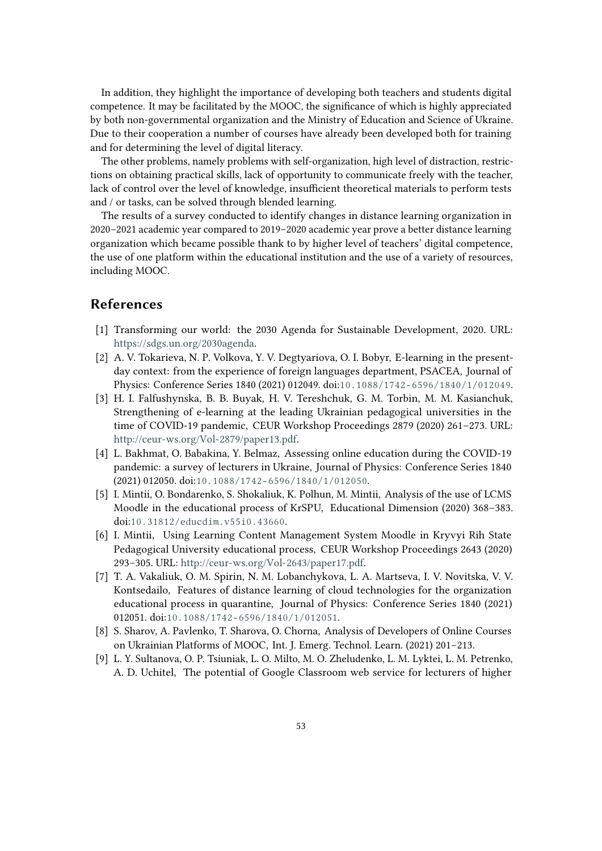In addition, they highlight the importance of developing both teachers and students digital competence. It may be facilitated by the MOOC, the significance of which is highly appreciated by both non-governmental organization and the Ministry of Education and Science of Ukraine. Due to their cooperation a number of courses have already been developed both for training and for determining the level of digital literacy.

The other problems, namely problems with self-organization, high level of distraction, restrictions on obtaining practical skills, lack of opportunity to communicate freely with the teacher, lack of control over the level of knowledge, insufficient theoretical materials to perform tests and / or tasks, can be solved through blended learning.

The results of a survey conducted to identify changes in distance learning organization in 2020–2021 academic year compared to 2019–2020 academic year prove a better distance learning organization which became possible thank to by higher level of teachers' digital competence, the use of one platform within the educational institution and the use of a variety of resources, including MOOC.

# **References**

- <span id="page-12-0"></span>[1] Transforming our world: the 2030 Agenda for Sustainable Development, 2020. URL: [https://sdgs.un.org/2030agenda.](https://sdgs.un.org/2030agenda)
- <span id="page-12-1"></span>[2] A. V. Tokarieva, N. P. Volkova, Y. V. Degtyariova, O. I. Bobyr, E-learning in the presentday context: from the experience of foreign languages department, PSACEA, Journal of Physics: Conference Series 1840 (2021) 012049. doi:[10.1088/1742- 6596/1840/1/012049](http://dx.doi.org/10.1088/1742-6596/1840/1/012049).
- <span id="page-12-2"></span>[3] H. I. Falfushynska, B. B. Buyak, H. V. Tereshchuk, G. M. Torbin, M. M. Kasianchuk, Strengthening of e-learning at the leading Ukrainian pedagogical universities in the time of COVID-19 pandemic, CEUR Workshop Proceedings 2879 (2020) 261–273. URL: [http://ceur-ws.org/Vol-2879/paper13.pdf.](http://ceur-ws.org/Vol-2879/paper13.pdf)
- <span id="page-12-3"></span>[4] L. Bakhmat, O. Babakina, Y. Belmaz, Assessing online education during the COVID-19 pandemic: a survey of lecturers in Ukraine, Journal of Physics: Conference Series 1840 (2021) 012050. doi:[10.1088/1742- 6596/1840/1/012050](http://dx.doi.org/10.1088/1742-6596/1840/1/012050).
- <span id="page-12-4"></span>[5] I. Mintii, O. Bondarenko, S. Shokaliuk, K. Polhun, M. Mintii, Analysis of the use of LCMS Moodle in the educational process of KrSPU, Educational Dimension (2020) 368–383. doi:[10.31812/educdim.v55i0.43660](http://dx.doi.org/10.31812/educdim.v55i0.43660).
- <span id="page-12-5"></span>[6] I. Mintii, Using Learning Content Management System Moodle in Kryvyi Rih State Pedagogical University educational process, CEUR Workshop Proceedings 2643 (2020) 293–305. URL: [http://ceur-ws.org/Vol-2643/paper17.pdf.](http://ceur-ws.org/Vol-2643/paper17.pdf)
- <span id="page-12-6"></span>[7] T. A. Vakaliuk, O. M. Spirin, N. M. Lobanchykova, L. A. Martseva, I. V. Novitska, V. V. Kontsedailo, Features of distance learning of cloud technologies for the organization educational process in quarantine, Journal of Physics: Conference Series 1840 (2021) 012051. doi:10.1088/1742-6596/1840/1/012051.
- <span id="page-12-7"></span>[8] S. Sharov, A. Pavlenko, T. Sharova, O. Chorna, Analysis of Developers of Online Courses on Ukrainian Platforms of MOOC, Int. J. Emerg. Technol. Learn. (2021) 201–213.
- <span id="page-12-8"></span>[9] L. Y. Sultanova, O. P. Tsiuniak, L. O. Milto, M. O. Zheludenko, L. M. Lyktei, L. M. Petrenko, A. D. Uchitel, The potential of Google Classroom web service for lecturers of higher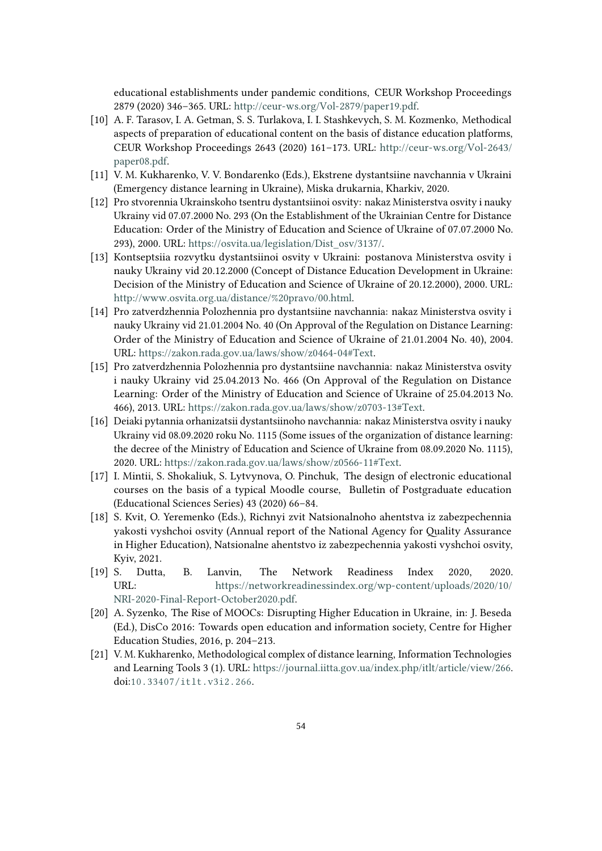educational establishments under pandemic conditions, CEUR Workshop Proceedings 2879 (2020) 346–365. URL: [http://ceur-ws.org/Vol-2879/paper19.pdf.](http://ceur-ws.org/Vol-2879/paper19.pdf)

- <span id="page-13-0"></span>[10] A. F. Tarasov, I. A. Getman, S. S. Turlakova, I. I. Stashkevych, S. M. Kozmenko, Methodical aspects of preparation of educational content on the basis of distance education platforms, CEUR Workshop Proceedings 2643 (2020) 161–173. URL: [http://ceur-ws.org/Vol-2643/](http://ceur-ws.org/Vol-2643/paper08.pdf) [paper08.pdf.](http://ceur-ws.org/Vol-2643/paper08.pdf)
- <span id="page-13-1"></span>[11] V. M. Kukharenko, V. V. Bondarenko (Eds.), Ekstrene dystantsiine navchannia v Ukraini (Emergency distance learning in Ukraine), Miska drukarnia, Kharkiv, 2020.
- <span id="page-13-2"></span>[12] Pro stvorennia Ukrainskoho tsentru dystantsiinoi osvity: nakaz Ministerstva osvity i nauky Ukrainy vid 07.07.2000 No. 293 (On the Establishment of the Ukrainian Centre for Distance Education: Order of the Ministry of Education and Science of Ukraine of 07.07.2000 No. 293), 2000. URL: [https://osvita.ua/legislation/Dist\\_osv/3137/.](https://osvita.ua/legislation/Dist_osv/3137/)
- <span id="page-13-3"></span>[13] Kontseptsiia rozvytku dystantsiinoi osvity v Ukraini: postanova Ministerstva osvity i nauky Ukrainy vid 20.12.2000 (Concept of Distance Education Development in Ukraine: Decision of the Ministry of Education and Science of Ukraine of 20.12.2000), 2000. URL: [http://www.osvita.org.ua/distance/%20pravo/00.html.](http://www.osvita.org.ua/distance/%20pravo/00.html)
- <span id="page-13-4"></span>[14] Pro zatverdzhennia Polozhennia pro dystantsiine navchannia: nakaz Ministerstva osvity i nauky Ukrainy vid 21.01.2004 No. 40 (On Approval of the Regulation on Distance Learning: Order of the Ministry of Education and Science of Ukraine of 21.01.2004 No. 40), 2004. URL: [https://zakon.rada.gov.ua/laws/show/z0464-04#Text.](https://zakon.rada.gov.ua/laws/show/z0464-04#Text)
- <span id="page-13-5"></span>[15] Pro zatverdzhennia Polozhennia pro dystantsiine navchannia: nakaz Ministerstva osvity i nauky Ukrainy vid 25.04.2013 No. 466 (On Approval of the Regulation on Distance Learning: Order of the Ministry of Education and Science of Ukraine of 25.04.2013 No. 466), 2013. URL: [https://zakon.rada.gov.ua/laws/show/z0703-13#Text.](https://zakon.rada.gov.ua/laws/show/z0703-13#Text)
- <span id="page-13-6"></span>[16] Deiaki pytannia orhanizatsii dystantsiinoho navchannia: nakaz Ministerstva osvity i nauky Ukrainy vid 08.09.2020 roku No. 1115 (Some issues of the organization of distance learning: the decree of the Ministry of Education and Science of Ukraine from 08.09.2020 No. 1115), 2020. URL: [https://zakon.rada.gov.ua/laws/show/z0566-11#Text.](https://zakon.rada.gov.ua/laws/show/z0566-11#Text)
- <span id="page-13-7"></span>[17] I. Mintii, S. Shokaliuk, S. Lytvynova, O. Pinchuk, The design of electronic educational courses on the basis of a typical Moodle course, Bulletin of Postgraduate education (Educational Sciences Series) 43 (2020) 66–84.
- <span id="page-13-8"></span>[18] S. Kvit, O. Yeremenko (Eds.), Richnyi zvit Natsionalnoho ahentstva iz zabezpechennia yakosti vyshchoi osvity (Annual report of the National Agency for Quality Assurance in Higher Education), Natsionalne ahentstvo iz zabezpechennia yakosti vyshchoi osvity, Kyiv, 2021.
- <span id="page-13-9"></span>[19] S. Dutta, B. Lanvin, The Network Readiness Index 2020, 2020. URL: [https://networkreadinessindex.org/wp-content/uploads/2020/10/](https://networkreadinessindex.org/wp-content/uploads/2020/10/NRI-2020-Final-Report-October2020.pdf) [NRI-2020-Final-Report-October2020.pdf.](https://networkreadinessindex.org/wp-content/uploads/2020/10/NRI-2020-Final-Report-October2020.pdf)
- <span id="page-13-10"></span>[20] A. Syzenko, The Rise of MOOCs: Disrupting Higher Education in Ukraine, in: J. Beseda (Ed.), DisCo 2016: Towards open education and information society, Centre for Higher Education Studies, 2016, p. 204–213.
- <span id="page-13-11"></span>[21] V. M. Kukharenko, Methodological complex of distance learning, Information Technologies and Learning Tools 3 (1). URL: [https://journal.iitta.gov.ua/index.php/itlt/article/view/266.](https://journal.iitta.gov.ua/index.php/itlt/article/view/266) doi:[10.33407/itlt.v3i2.266](http://dx.doi.org/10.33407/itlt.v3i2.266).